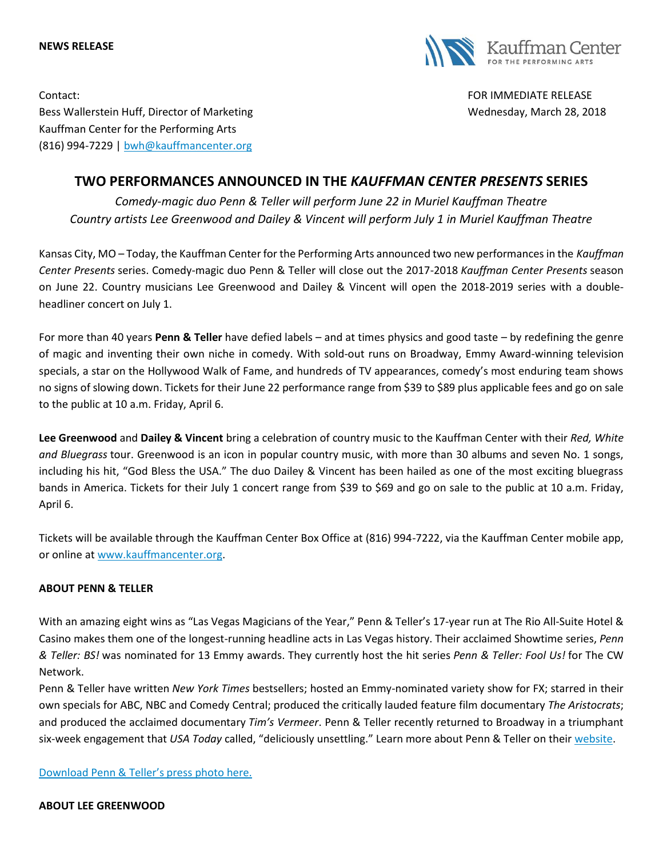#### **NEWS RELEASE**



Contact: FOR IMMEDIATE RELEASE Bess Wallerstein Huff, Director of Marketing Wellerston Wednesday, March 28, 2018 Kauffman Center for the Performing Arts (816) 994-7229 | [bwh@kauffmancenter.org](mailto:bwh@kauffmancenter.org)

# **TWO PERFORMANCES ANNOUNCED IN THE** *KAUFFMAN CENTER PRESENTS* **SERIES**

*Comedy-magic duo Penn & Teller will perform June 22 in Muriel Kauffman Theatre Country artists Lee Greenwood and Dailey & Vincent will perform July 1 in Muriel Kauffman Theatre*

Kansas City, MO – Today, the Kauffman Center for the Performing Arts announced two new performances in the *Kauffman Center Presents* series. Comedy-magic duo Penn & Teller will close out the 2017-2018 *Kauffman Center Presents* season on June 22. Country musicians Lee Greenwood and Dailey & Vincent will open the 2018-2019 series with a doubleheadliner concert on July 1.

For more than 40 years **Penn & Teller** have defied labels – and at times physics and good taste – by redefining the genre of magic and inventing their own niche in comedy. With sold-out runs on Broadway, Emmy Award-winning television specials, a star on the Hollywood Walk of Fame, and hundreds of TV appearances, comedy's most enduring team shows no signs of slowing down. Tickets for their June 22 performance range from \$39 to \$89 plus applicable fees and go on sale to the public at 10 a.m. Friday, April 6.

**Lee Greenwood** and **Dailey & Vincent** bring a celebration of country music to the Kauffman Center with their *Red, White and Bluegrass* tour. Greenwood is an icon in popular country music, with more than 30 albums and seven No. 1 songs, including his hit, "God Bless the USA." The duo Dailey & Vincent has been hailed as one of the most exciting bluegrass bands in America. Tickets for their July 1 concert range from \$39 to \$69 and go on sale to the public at 10 a.m. Friday, April 6.

Tickets will be available through the Kauffman Center Box Office at (816) 994-7222, via the Kauffman Center mobile app, or online at [www.kauffmancenter.org.](http://tracking.wordfly.com/click?sid=MTc4Xzg3MTBfMTMxMTFfNjczOA&l=e01083e6-292d-e811-bcb0-e61f134a8c87&utm_source=wordfly&utm_medium=email&utm_campaign=Release%3APennandTeller%2CLeeGreenwood&utm_content=version_A&sourceNumber=)

# **ABOUT PENN & TELLER**

With an amazing eight wins as "Las Vegas Magicians of the Year," Penn & Teller's 17-year run at The Rio All-Suite Hotel & Casino makes them one of the longest-running headline acts in Las Vegas history. Their acclaimed Showtime series, *Penn & Teller: BS!* was nominated for 13 Emmy awards. They currently host the hit series *Penn & Teller: Fool Us!* for The CW Network.

Penn & Teller have written *New York Times* bestsellers; hosted an Emmy-nominated variety show for FX; starred in their own specials for ABC, NBC and Comedy Central; produced the critically lauded feature film documentary *The Aristocrats*; and produced the acclaimed documentary *Tim's Vermeer*. Penn & Teller recently returned to Broadway in a triumphant six-week engagement that *USA Today* called, "deliciously unsettling." Learn more about Penn & Teller on their [website.](http://tracking.wordfly.com/click?sid=MTc4Xzg3MTBfMTMxMTFfNjczOA&l=e11083e6-292d-e811-bcb0-e61f134a8c87&utm_source=wordfly&utm_medium=email&utm_campaign=Release%3APennandTeller%2CLeeGreenwood&utm_content=version_A&sourceNumber=)

[Download Penn & Teller's press photo here.](http://tracking.wordfly.com/click?sid=MTc4Xzg3MTBfMTMxMTFfNjczOA&l=e41083e6-292d-e811-bcb0-e61f134a8c87&utm_source=wordfly&utm_medium=email&utm_campaign=Release%3APennandTeller%2CLeeGreenwood&utm_content=version_A&sourceNumber=)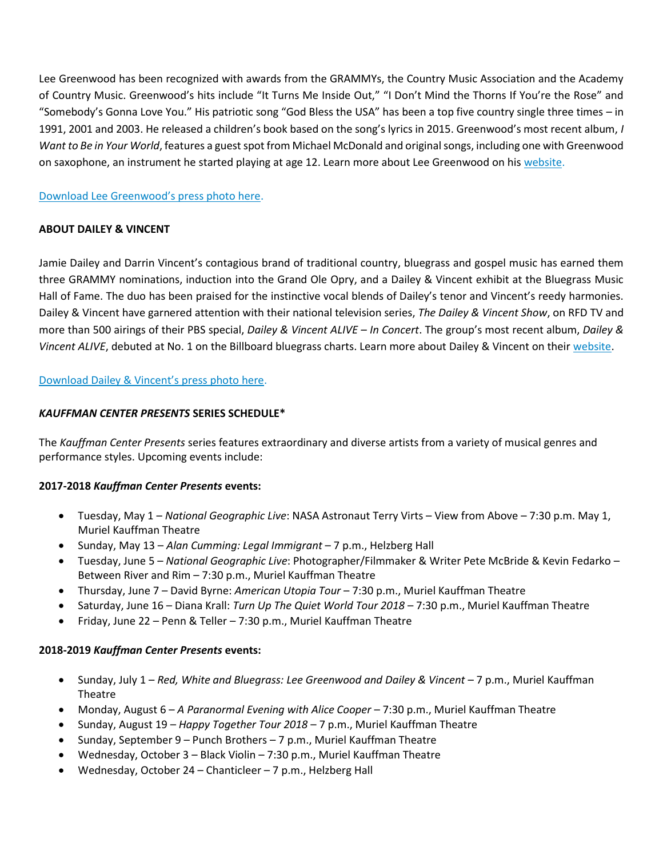Lee Greenwood has been recognized with awards from the GRAMMYs, the Country Music Association and the Academy of Country Music. Greenwood's hits include "It Turns Me Inside Out," "I Don't Mind the Thorns If You're the Rose" and "Somebody's Gonna Love You." His patriotic song "God Bless the USA" has been a top five country single three times – in 1991, 2001 and 2003. He released a children's book based on the song's lyrics in 2015. Greenwood's most recent album, *I Want to Be in Your World*, features a guest spot from Michael McDonald and original songs, including one with Greenwood on saxophone, an instrument he started playing at age 12. Learn more about Lee Greenwood on his [website.](http://tracking.wordfly.com/click?sid=MTc4Xzg3MTBfMTMxMTFfNjczOA&l=e51083e6-292d-e811-bcb0-e61f134a8c87&utm_source=wordfly&utm_medium=email&utm_campaign=Release%3APennandTeller%2CLeeGreenwood&utm_content=version_A&sourceNumber=)

# [Download Lee Greenwood's press photo here](http://tracking.wordfly.com/click?sid=MTc4Xzg3MTBfMTMxMTFfNjczOA&l=e61083e6-292d-e811-bcb0-e61f134a8c87&utm_source=wordfly&utm_medium=email&utm_campaign=Release%3APennandTeller%2CLeeGreenwood&utm_content=version_A&sourceNumber=).

# **ABOUT DAILEY & VINCENT**

Jamie Dailey and Darrin Vincent's contagious brand of traditional country, bluegrass and gospel music has earned them three GRAMMY nominations, induction into the Grand Ole Opry, and a Dailey & Vincent exhibit at the Bluegrass Music Hall of Fame. The duo has been praised for the instinctive vocal blends of Dailey's tenor and Vincent's reedy harmonies. Dailey & Vincent have garnered attention with their national television series, *The Dailey & Vincent Show*, on RFD TV and more than 500 airings of their PBS special, *Dailey & Vincent ALIVE – In Concert*. The group's most recent album, *Dailey & Vincent ALIVE*, debuted at No. 1 on the Billboard bluegrass charts. Learn more about Dailey & Vincent on their [website.](http://tracking.wordfly.com/click?sid=MTc4Xzg3MTBfMTMxMTFfNjczOA&l=e71083e6-292d-e811-bcb0-e61f134a8c87&utm_source=wordfly&utm_medium=email&utm_campaign=Release%3APennandTeller%2CLeeGreenwood&utm_content=version_A&sourceNumber=)

[Download Dailey & Vincent's press photo here](http://tracking.wordfly.com/click?sid=MTc4Xzg3MTBfMTMxMTFfNjczOA&l=e81083e6-292d-e811-bcb0-e61f134a8c87&utm_source=wordfly&utm_medium=email&utm_campaign=Release%3APennandTeller%2CLeeGreenwood&utm_content=version_A&sourceNumber=).

# *KAUFFMAN CENTER PRESENTS* **SERIES SCHEDULE\***

The *Kauffman Center Presents* series features extraordinary and diverse artists from a variety of musical genres and performance styles. Upcoming events include:

# **2017-2018** *Kauffman Center Presents* **events:**

- Tuesday, May 1 *National Geographic Live*: NASA Astronaut Terry Virts View from Above 7:30 p.m. May 1, Muriel Kauffman Theatre
- Sunday, May 13 *Alan Cumming: Legal Immigrant* 7 p.m., Helzberg Hall
- Tuesday, June 5 *National Geographic Live*: Photographer/Filmmaker & Writer Pete McBride & Kevin Fedarko Between River and Rim – 7:30 p.m., Muriel Kauffman Theatre
- Thursday, June 7 David Byrne: *American Utopia Tour* 7:30 p.m., Muriel Kauffman Theatre
- Saturday, June 16 Diana Krall: *Turn Up The Quiet World Tour 2018* 7:30 p.m., Muriel Kauffman Theatre
- Friday, June 22 Penn & Teller 7:30 p.m., Muriel Kauffman Theatre

# **2018-2019** *Kauffman Center Presents* **events:**

- Sunday, July 1 *Red, White and Bluegrass: Lee Greenwood and Dailey & Vincent* 7 p.m., Muriel Kauffman Theatre
- Monday, August 6 *A Paranormal Evening with Alice Cooper* 7:30 p.m., Muriel Kauffman Theatre
- Sunday, August 19 *Happy Together Tour 2018* 7 p.m., Muriel Kauffman Theatre
- Sunday, September 9 Punch Brothers 7 p.m., Muriel Kauffman Theatre
- Wednesday, October 3 Black Violin 7:30 p.m., Muriel Kauffman Theatre
- Wednesday, October 24 Chanticleer 7 p.m., Helzberg Hall